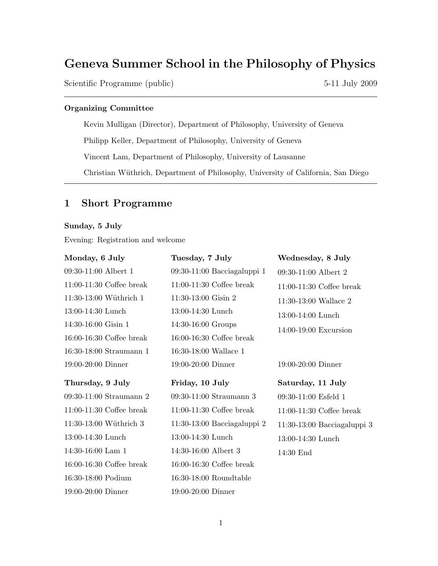# Geneva Summer School in the Philosophy of Physics

Scientific Programme (public) 5-11 July 2009

### Organizing Committee

Kevin Mulligan (Director), Department of Philosophy, University of Geneva Philipp Keller, Department of Philosophy, University of Geneva Vincent Lam, Department of Philosophy, University of Lausanne Christian Wüthrich, Department of Philosophy, University of California, San Diego

## 1 Short Programme

### Sunday, 5 July

Evening: Registration and welcome

| Monday, 6 July             | Tuesday, 7 July                 | Wednesday, 8 July             |
|----------------------------|---------------------------------|-------------------------------|
| 09:30-11:00 Albert 1       | 09:30-11:00 Bacciagaluppi 1     | 09:30-11:00 Albert 2          |
| $11:00-11:30$ Coffee break | $11:00-11:30$ Coffee break      | $11:00-11:30$ Coffee break    |
| 11:30-13:00 Wüthrich 1     | $11:30-13:00$ Gisin 2           | $11:30-13:00$ Wallace 2       |
| 13:00-14:30 Lunch          | 13:00-14:30 Lunch               | $13:00-14:00$ Lunch           |
| 14:30-16:00 Gisin 1        | 14:30-16:00 Groups              | $14:00-19:00$ Excursion       |
| $16:00-16:30$ Coffee break | $16:00-16:30$ Coffee break      |                               |
| 16:30-18:00 Straumann 1    | 16:30-18:00 Wallace 1           |                               |
| 19:00-20:00 Dinner         | $19:00-20:00$ Dinner            | $19:00-20:00$ Dinner          |
|                            |                                 |                               |
| Thursday, 9 July           | Friday, 10 July                 | Saturday, 11 July             |
| 09:30-11:00 Straumann 2    | 09:30-11:00 Straumann 3         | $09:30-11:00$ Esfeld 1        |
| $11:00-11:30$ Coffee break | $11:00-11:30$ Coffee break      | $11:00-11:30$ Coffee break    |
| 11:30-13:00 Wüthrich 3     | $11:30-13:00$ Bacciagaluppi $2$ | $11:30-13:00$ Bacciagaluppi 3 |
| 13:00-14:30 Lunch          | 13:00-14:30 Lunch               | $13:00-14:30$ Lunch           |
| 14:30-16:00 Lam 1          | 14:30-16:00 Albert 3            | $14:30$ End                   |
| $16:00-16:30$ Coffee break | $16:00-16:30$ Coffee break      |                               |
| 16:30-18:00 Podium         | $16:30-18:00$ Roundtable        |                               |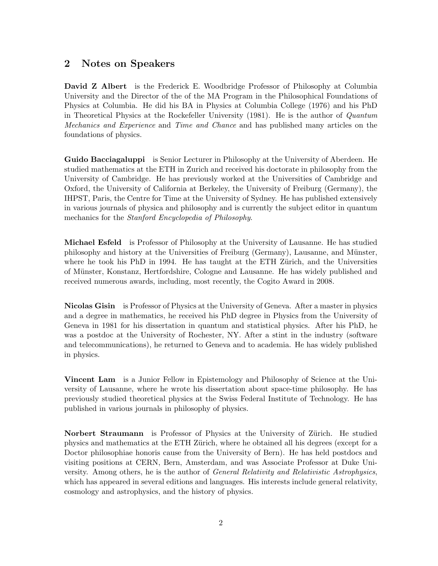## 2 Notes on Speakers

David Z Albert is the Frederick E. Woodbridge Professor of Philosophy at Columbia University and the Director of the of the MA Program in the Philosophical Foundations of Physics at Columbia. He did his BA in Physics at Columbia College (1976) and his PhD in Theoretical Physics at the Rockefeller University (1981). He is the author of Quantum Mechanics and Experience and Time and Chance and has published many articles on the foundations of physics.

Guido Bacciagaluppi is Senior Lecturer in Philosophy at the University of Aberdeen. He studied mathematics at the ETH in Zurich and received his doctorate in philosophy from the University of Cambridge. He has previously worked at the Universities of Cambridge and Oxford, the University of California at Berkeley, the University of Freiburg (Germany), the IHPST, Paris, the Centre for Time at the University of Sydney. He has published extensively in various journals of physica and philosophy and is currently the subject editor in quantum mechanics for the Stanford Encyclopedia of Philosophy.

Michael Esfeld is Professor of Philosophy at the University of Lausanne. He has studied philosophy and history at the Universities of Freiburg (Germany), Lausanne, and Münster, where he took his PhD in 1994. He has taught at the ETH Zürich, and the Universities of Münster, Konstanz, Hertfordshire, Cologne and Lausanne. He has widely published and received numerous awards, including, most recently, the Cogito Award in 2008.

Nicolas Gisin is Professor of Physics at the University of Geneva. After a master in physics and a degree in mathematics, he received his PhD degree in Physics from the University of Geneva in 1981 for his dissertation in quantum and statistical physics. After his PhD, he was a postdoc at the University of Rochester, NY. After a stint in the industry (software and telecommunications), he returned to Geneva and to academia. He has widely published in physics.

Vincent Lam is a Junior Fellow in Epistemology and Philosophy of Science at the University of Lausanne, where he wrote his dissertation about space-time philosophy. He has previously studied theoretical physics at the Swiss Federal Institute of Technology. He has published in various journals in philosophy of physics.

Norbert Straumann is Professor of Physics at the University of Zürich. He studied physics and mathematics at the ETH Zürich, where he obtained all his degrees (except for a Doctor philosophiae honoris cause from the University of Bern). He has held postdocs and visiting positions at CERN, Bern, Amsterdam, and was Associate Professor at Duke University. Among others, he is the author of *General Relativity and Relativistic Astrophysics*, which has appeared in several editions and languages. His interests include general relativity, cosmology and astrophysics, and the history of physics.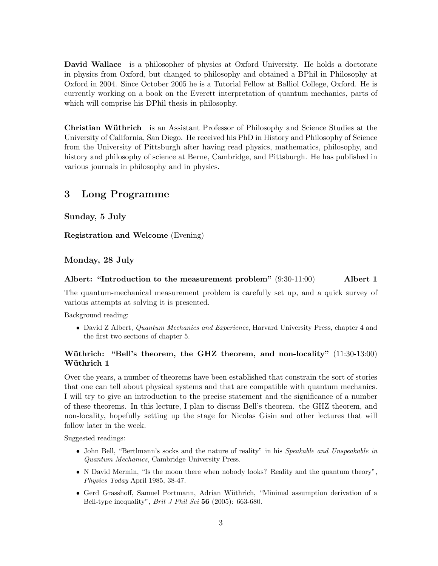David Wallace is a philosopher of physics at Oxford University. He holds a doctorate in physics from Oxford, but changed to philosophy and obtained a BPhil in Philosophy at Oxford in 2004. Since October 2005 he is a Tutorial Fellow at Balliol College, Oxford. He is currently working on a book on the Everett interpretation of quantum mechanics, parts of which will comprise his DPhil thesis in philosophy.

**Christian Wüthrich** is an Assistant Professor of Philosophy and Science Studies at the University of California, San Diego. He received his PhD in History and Philosophy of Science from the University of Pittsburgh after having read physics, mathematics, philosophy, and history and philosophy of science at Berne, Cambridge, and Pittsburgh. He has published in various journals in philosophy and in physics.

## 3 Long Programme

Sunday, 5 July

Registration and Welcome (Evening)

### Monday, 28 July

### Albert: "Introduction to the measurement problem" (9:30-11:00) Albert 1

The quantum-mechanical measurement problem is carefully set up, and a quick survey of various attempts at solving it is presented.

Background reading:

• David Z Albert, *Quantum Mechanics and Experience*, Harvard University Press, chapter 4 and the first two sections of chapter 5.

### Wüthrich: "Bell's theorem, the GHZ theorem, and non-locality" (11:30-13:00) Wüthrich 1

Over the years, a number of theorems have been established that constrain the sort of stories that one can tell about physical systems and that are compatible with quantum mechanics. I will try to give an introduction to the precise statement and the significance of a number of these theorems. In this lecture, I plan to discuss Bell's theorem. the GHZ theorem, and non-locality, hopefully setting up the stage for Nicolas Gisin and other lectures that will follow later in the week.

Suggested readings:

- John Bell, "Bertlmann's socks and the nature of reality" in his Speakable and Unspeakable in Quantum Mechanics, Cambridge University Press.
- N David Mermin, "Is the moon there when nobody looks? Reality and the quantum theory", Physics Today April 1985, 38-47.
- Gerd Grasshoff, Samuel Portmann, Adrian W¨uthrich, "Minimal assumption derivation of a Bell-type inequality", *Brit J Phil Sci* 56 (2005): 663-680.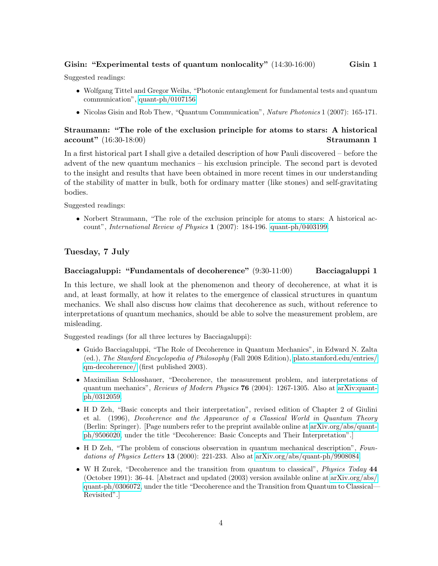### Gisin: "Experimental tests of quantum nonlocality" (14:30-16:00) Gisin 1

Suggested readings:

- Wolfgang Tittel and Gregor Weihs, "Photonic entanglement for fundamental tests and quantum communication", [quant-ph/0107156](http://arxiv.org/abs/quant-ph/0107156)
- Nicolas Gisin and Rob Thew, "Quantum Communication", Nature Photonics 1 (2007): 165-171.

### Straumann: "The role of the exclusion principle for atoms to stars: A historical account" (16:30-18:00) Straumann 1

In a first historical part I shall give a detailed description of how Pauli discovered – before the advent of the new quantum mechanics – his exclusion principle. The second part is devoted to the insight and results that have been obtained in more recent times in our understanding of the stability of matter in bulk, both for ordinary matter (like stones) and self-gravitating bodies.

Suggested readings:

• Norbert Straumann, "The role of the exclusion principle for atoms to stars: A historical account", International Review of Physics 1 (2007): 184-196. [quant-ph/0403199.](http://arxiv.org/abs/quant-ph/0403199)

### Tuesday, 7 July

### Bacciagaluppi: "Fundamentals of decoherence" (9:30-11:00) Bacciagaluppi 1

In this lecture, we shall look at the phenomenon and theory of decoherence, at what it is and, at least formally, at how it relates to the emergence of classical structures in quantum mechanics. We shall also discuss how claims that decoherence as such, without reference to interpretations of quantum mechanics, should be able to solve the measurement problem, are misleading.

Suggested readings (for all three lectures by Bacciagaluppi):

- Guido Bacciagaluppi, "The Role of Decoherence in Quantum Mechanics", in Edward N. Zalta (ed.), The Stanford Encyclopedia of Philosophy (Fall 2008 Edition), [plato.stanford.edu/entries/](http://plato.stanford.edu/entries/qm-decoherence/) [qm-decoherence/](http://plato.stanford.edu/entries/qm-decoherence/) (first published 2003).
- Maximilian Schlosshauer, "Decoherence, the measurement problem, and interpretations of quantum mechanics", Reviews of Modern Physics 76 (2004): 1267-1305. Also at [arXiv:quant](http://arxiv.org/abs/quant-ph/0312059)[ph/0312059.](http://arxiv.org/abs/quant-ph/0312059)
- H D Zeh, "Basic concepts and their interpretation", revised edition of Chapter 2 of Giulini et al. (1996), Decoherence and the Appearance of a Classical World in Quantum Theory (Berlin: Springer). [Page numbers refer to the preprint available online at [arXiv.org/abs/quant](http://arxiv.org/abs/quant-ph/9506020)[ph/9506020,](http://arxiv.org/abs/quant-ph/9506020) under the title "Decoherence: Basic Concepts and Their Interpretation".]
- H D Zeh, "The problem of conscious observation in quantum mechanical description", Foundations of Physics Letters 13 (2000): 221-233. Also at [arXiv.org/abs/quant-ph/9908084.](http://arxiv.org/abs/quant-ph/9908084)
- W H Zurek, "Decoherence and the transition from quantum to classical", *Physics Today* 44 (October 1991): 36-44. [Abstract and updated (2003) version available online at [arXiv.org/abs/](http://arxiv.org/abs/quant-ph/0306072) [quant-ph/0306072,](http://arxiv.org/abs/quant-ph/0306072) under the title "Decoherence and the Transition from Quantum to Classical— Revisited".]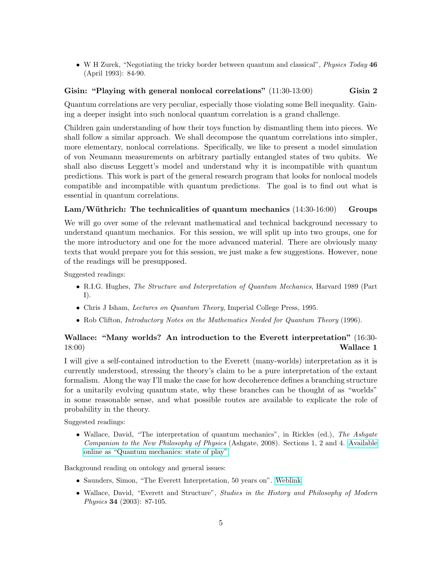• W H Zurek, "Negotiating the tricky border between quantum and classical", *Physics Today* 46 (April 1993): 84-90.

### Gisin: "Playing with general nonlocal correlations" (11:30-13:00) Gisin 2

Quantum correlations are very peculiar, especially those violating some Bell inequality. Gaining a deeper insight into such nonlocal quantum correlation is a grand challenge.

Children gain understanding of how their toys function by dismantling them into pieces. We shall follow a similar approach. We shall decompose the quantum correlations into simpler, more elementary, nonlocal correlations. Specifically, we like to present a model simulation of von Neumann measurements on arbitrary partially entangled states of two qubits. We shall also discuss Leggett's model and understand why it is incompatible with quantum predictions. This work is part of the general research program that looks for nonlocal models compatible and incompatible with quantum predictions. The goal is to find out what is essential in quantum correlations.

### Lam/Wüthrich: The technicalities of quantum mechanics  $(14:30\n-16:00)$  Groups

We will go over some of the relevant mathematical and technical background necessary to understand quantum mechanics. For this session, we will split up into two groups, one for the more introductory and one for the more advanced material. There are obviously many texts that would prepare you for this session, we just make a few suggestions. However, none of the readings will be presupposed.

Suggested readings:

- R.I.G. Hughes, The Structure and Interpretation of Quantum Mechanics, Harvard 1989 (Part I).
- Chris J Isham, Lectures on Quantum Theory, Imperial College Press, 1995.
- Rob Clifton, *Introductory Notes on the Mathematics Needed for Quantum Theory* (1996).

### Wallace: "Many worlds? An introduction to the Everett interpretation" (16:30-  $18:00)$  Wallace 1

I will give a self-contained introduction to the Everett (many-worlds) interpretation as it is currently understood, stressing the theory's claim to be a pure interpretation of the extant formalism. Along the way I'll make the case for how decoherence defines a branching structure for a unitarily evolving quantum state, why these branches can be thought of as "worlds" in some reasonable sense, and what possible routes are available to explicate the role of probability in the theory.

Suggested readings:

• Wallace, David, "The interpretation of quantum mechanics", in Rickles (ed.), The Ashgate Companion to the New Philosophy of Physics (Ashgate, 2008). Sections 1, 2 and 4. [Available](http://arxiv.org/abs/0712.0149) [online as "Quantum mechanics: state of play"](http://arxiv.org/abs/0712.0149)

Background reading on ontology and general issues:

- Saunders, Simon, "The Everett Interpretation, 50 years on". [Weblink](http://users.ox.ac.uk/~everett/docs/Proposal.pdf)
- Wallace, David, "Everett and Structure", Studies in the History and Philosophy of Modern Physics 34 (2003): 87-105.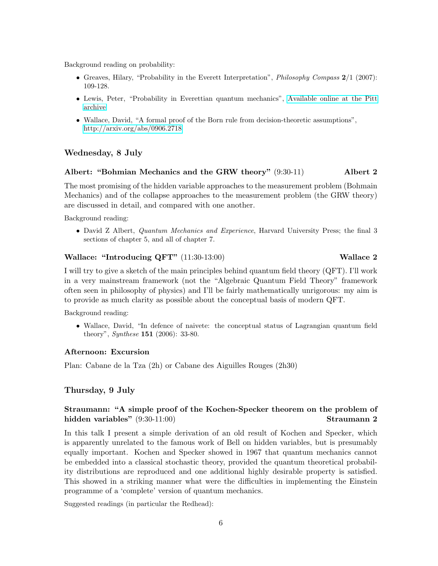Background reading on probability:

- Greaves, Hilary, "Probability in the Everett Interpretation", *Philosophy Compass*  $2/1$  (2007): 109-128.
- Lewis, Peter, "Probability in Everettian quantum mechanics", [Available online at the Pitt](http://philsci-archive.pitt.edu) [archive](http://philsci-archive.pitt.edu)
- Wallace, David, "A formal proof of the Born rule from decision-theoretic assumptions", <http://arxiv.org/abs/0906.2718>

### Wednesday, 8 July

### Albert: "Bohmian Mechanics and the GRW theory" (9:30-11) Albert 2

The most promising of the hidden variable approaches to the measurement problem (Bohmain Mechanics) and of the collapse approaches to the measurement problem (the GRW theory) are discussed in detail, and compared with one another.

Background reading:

• David Z Albert, Quantum Mechanics and Experience, Harvard University Press; the final 3 sections of chapter 5, and all of chapter 7.

### Wallace: "Introducing  $QFT'$   $(11:30-13:00)$  Wallace 2

I will try to give a sketch of the main principles behind quantum field theory (QFT). I'll work in a very mainstream framework (not the "Algebraic Quantum Field Theory" framework often seen in philosophy of physics) and I'll be fairly mathematically unrigorous: my aim is to provide as much clarity as possible about the conceptual basis of modern QFT.

Background reading:

• Wallace, David, "In defence of naivete: the conceptual status of Lagrangian quantum field theory", *Synthese* **151** (2006): 33-80.

### Afternoon: Excursion

Plan: Cabane de la Tza (2h) or Cabane des Aiguilles Rouges (2h30)

### Thursday, 9 July

### Straumann: "A simple proof of the Kochen-Specker theorem on the problem of hidden variables" (9:30-11:00) Straumann 2

In this talk I present a simple derivation of an old result of Kochen and Specker, which is apparently unrelated to the famous work of Bell on hidden variables, but is presumably equally important. Kochen and Specker showed in 1967 that quantum mechanics cannot be embedded into a classical stochastic theory, provided the quantum theoretical probability distributions are reproduced and one additional highly desirable property is satisfied. This showed in a striking manner what were the difficulties in implementing the Einstein programme of a 'complete' version of quantum mechanics.

Suggested readings (in particular the Redhead):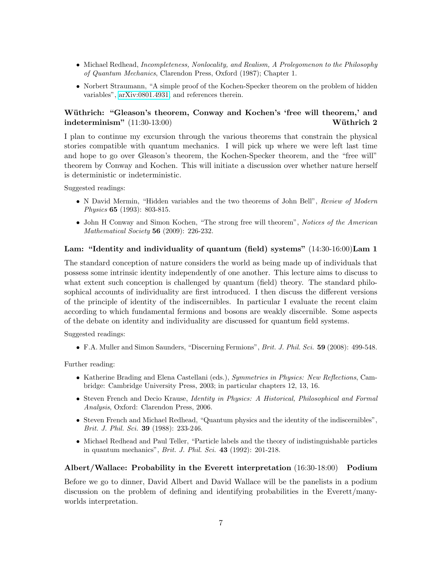- Michael Redhead, *Incompleteness*, *Nonlocality, and Realism, A Prolegomenon to the Philosophy* of Quantum Mechanics, Clarendon Press, Oxford (1987); Chapter 1.
- Norbert Straumann, "A simple proof of the Kochen-Specker theorem on the problem of hidden variables", [arXiv:0801.4931,](http://arxiv.org/abs/0801.4931) and references therein.

### Wüthrich: "Gleason's theorem, Conway and Kochen's 'free will theorem,' and  $\text{indeterminism}'' \hspace{.08cm}(11:30\text{-}13:00) \hspace{2.5cm} \text{Wüthrich 2}$

I plan to continue my excursion through the various theorems that constrain the physical stories compatible with quantum mechanics. I will pick up where we were left last time and hope to go over Gleason's theorem, the Kochen-Specker theorem, and the "free will" theorem by Conway and Kochen. This will initiate a discussion over whether nature herself is deterministic or indeterministic.

Suggested readings:

- N David Mermin, "Hidden variables and the two theorems of John Bell", Review of Modern Physics 65 (1993): 803-815.
- John H Conway and Simon Kochen, "The strong free will theorem", Notices of the American Mathematical Society **56** (2009): 226-232.

### Lam: "Identity and individuality of quantum (field) systems"  $(14:30-16:00)$ Lam 1

The standard conception of nature considers the world as being made up of individuals that possess some intrinsic identity independently of one another. This lecture aims to discuss to what extent such conception is challenged by quantum (field) theory. The standard philosophical accounts of individuality are first introduced. I then discuss the different versions of the principle of identity of the indiscernibles. In particular I evaluate the recent claim according to which fundamental fermions and bosons are weakly discernible. Some aspects of the debate on identity and individuality are discussed for quantum field systems.

Suggested readings:

• F.A. Muller and Simon Saunders, "Discerning Fermions", Brit. J. Phil. Sci. 59 (2008): 499-548.

Further reading:

- Katherine Brading and Elena Castellani (eds.), Symmetries in Physics: New Reflections, Cambridge: Cambridge University Press, 2003; in particular chapters 12, 13, 16.
- Steven French and Decio Krause, Identity in Physics: A Historical, Philosophical and Formal Analysis, Oxford: Clarendon Press, 2006.
- Steven French and Michael Redhead, "Quantum physics and the identity of the indiscernibles", Brit. J. Phil. Sci. 39 (1988): 233-246.
- Michael Redhead and Paul Teller, "Particle labels and the theory of indistinguishable particles in quantum mechanics", *Brit. J. Phil. Sci.* 43 (1992): 201-218.

### Albert/Wallace: Probability in the Everett interpretation (16:30-18:00) Podium

Before we go to dinner, David Albert and David Wallace will be the panelists in a podium discussion on the problem of defining and identifying probabilities in the Everett/manyworlds interpretation.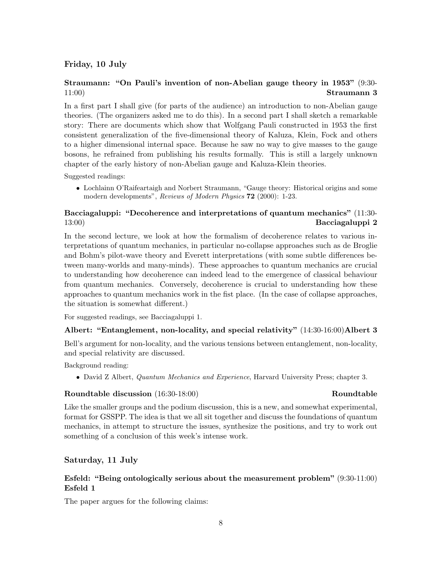### Friday, 10 July

### Straumann: "On Pauli's invention of non-Abelian gauge theory in 1953" (9:30-  $11:00$ ) Straumann 3

In a first part I shall give (for parts of the audience) an introduction to non-Abelian gauge theories. (The organizers asked me to do this). In a second part I shall sketch a remarkable story: There are documents which show that Wolfgang Pauli constructed in 1953 the first consistent generalization of the five-dimensional theory of Kaluza, Klein, Fock and others to a higher dimensional internal space. Because he saw no way to give masses to the gauge bosons, he refrained from publishing his results formally. This is still a largely unknown chapter of the early history of non-Abelian gauge and Kaluza-Klein theories.

Suggested readings:

• Lochlainn O'Raifeartaigh and Norbert Straumann, "Gauge theory: Historical origins and some modern developments", Reviews of Modern Physics 72 (2000): 1-23.

### Bacciagaluppi: "Decoherence and interpretations of quantum mechanics" (11:30-  $13:00$ ) Bacciagaluppi 2

In the second lecture, we look at how the formalism of decoherence relates to various interpretations of quantum mechanics, in particular no-collapse approaches such as de Broglie and Bohm's pilot-wave theory and Everett interpretations (with some subtle differences between many-worlds and many-minds). These approaches to quantum mechanics are crucial to understanding how decoherence can indeed lead to the emergence of classical behaviour from quantum mechanics. Conversely, decoherence is crucial to understanding how these approaches to quantum mechanics work in the fist place. (In the case of collapse approaches, the situation is somewhat different.)

For suggested readings, see Bacciagaluppi 1.

### Albert: "Entanglement, non-locality, and special relativity" (14:30-16:00)Albert 3

Bell's argument for non-locality, and the various tensions between entanglement, non-locality, and special relativity are discussed.

Background reading:

• David Z Albert, Quantum Mechanics and Experience, Harvard University Press; chapter 3.

### Roundtable discussion (16:30-18:00) Roundtable Roundtable

Like the smaller groups and the podium discussion, this is a new, and somewhat experimental, format for GSSPP. The idea is that we all sit together and discuss the foundations of quantum mechanics, in attempt to structure the issues, synthesize the positions, and try to work out something of a conclusion of this week's intense work.

### Saturday, 11 July

### Esfeld: "Being ontologically serious about the measurement problem" (9:30-11:00) Esfeld 1

The paper argues for the following claims: